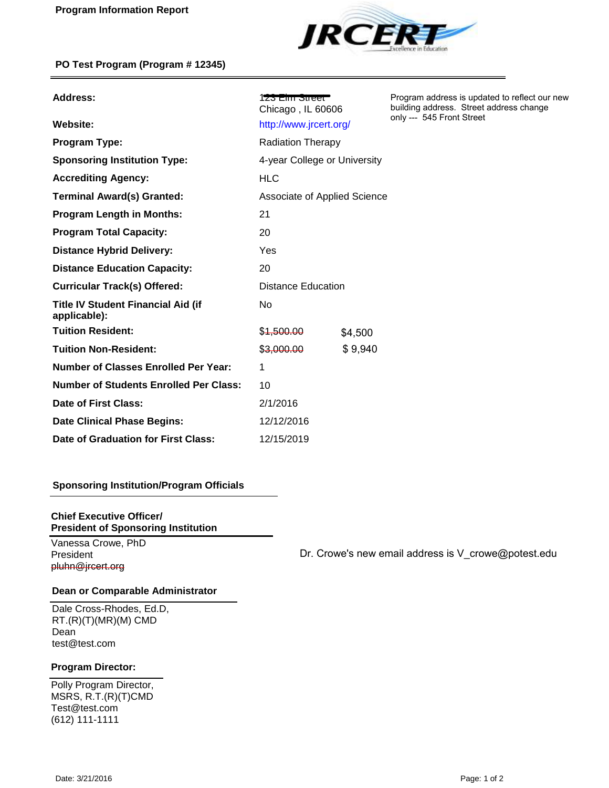

| <b>Address:</b>                                           | $1$ zə Elili Əlibbi $\Gamma$<br>Chicago, IL 60606 |         | Program address is updated to reflect our new<br>building address. Street address change<br>only --- 545 Front Street |
|-----------------------------------------------------------|---------------------------------------------------|---------|-----------------------------------------------------------------------------------------------------------------------|
| Website:                                                  | http://www.jrcert.org/                            |         |                                                                                                                       |
| <b>Program Type:</b>                                      | <b>Radiation Therapy</b>                          |         |                                                                                                                       |
| <b>Sponsoring Institution Type:</b>                       | 4-year College or University                      |         |                                                                                                                       |
| <b>Accrediting Agency:</b>                                | <b>HLC</b>                                        |         |                                                                                                                       |
| <b>Terminal Award(s) Granted:</b>                         | Associate of Applied Science                      |         |                                                                                                                       |
| <b>Program Length in Months:</b>                          | 21                                                |         |                                                                                                                       |
| <b>Program Total Capacity:</b>                            | 20                                                |         |                                                                                                                       |
| <b>Distance Hybrid Delivery:</b>                          | Yes                                               |         |                                                                                                                       |
| <b>Distance Education Capacity:</b>                       | 20                                                |         |                                                                                                                       |
| <b>Curricular Track(s) Offered:</b>                       | <b>Distance Education</b>                         |         |                                                                                                                       |
| <b>Title IV Student Financial Aid (if</b><br>applicable): | No                                                |         |                                                                                                                       |
| <b>Tuition Resident:</b>                                  | \$1,500.00                                        | \$4,500 |                                                                                                                       |
| <b>Tuition Non-Resident:</b>                              | \$3,000.00                                        | \$9,940 |                                                                                                                       |
| <b>Number of Classes Enrolled Per Year:</b>               | 1                                                 |         |                                                                                                                       |
| <b>Number of Students Enrolled Per Class:</b>             | 10                                                |         |                                                                                                                       |
| Date of First Class:                                      | 2/1/2016                                          |         |                                                                                                                       |
| <b>Date Clinical Phase Begins:</b>                        | 12/12/2016                                        |         |                                                                                                                       |
| Date of Graduation for First Class:                       | 12/15/2019                                        |         |                                                                                                                       |

## **Sponsoring Institution/Program Officials**

#### **Chief Executive Officer/ President of Sponsoring Institution**

Vanessa Crowe, PhD President pluhn@jrcert.org

Dr. Crowe's new email address is V\_crowe@potest.edu

## **Dean or Comparable Administrator**

Dale Cross-Rhodes, Ed.D, RT.(R)(T)(MR)(M) CMD Dean test@test.com

## **Program Director:**

Polly Program Director, MSRS, R.T.(R)(T)CMD Test@test.com (612) 111-1111